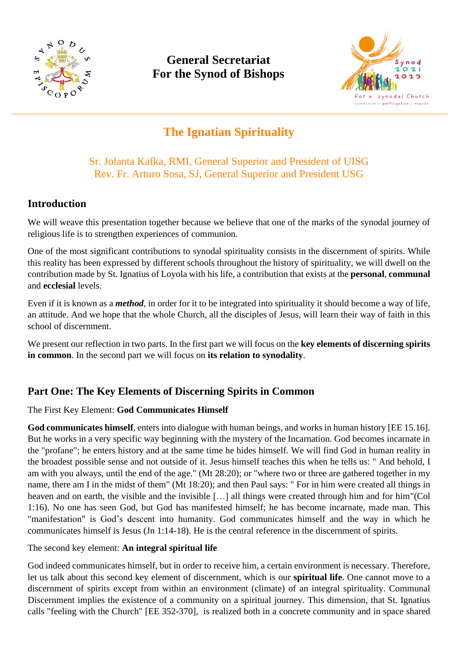

# **General Secretariat For the Synod of Bishops**



# **The Ignatian Spirituality**

# Sr. Jolanta Kafka, RMI, General Superior and President of UISG Rev. Fr. Arturo Sosa, SJ, General Superior and President USG

# **Introduction**

We will weave this presentation together because we believe that one of the marks of the synodal journey of religious life is to strengthen experiences of communion.

One of the most significant contributions to synodal spirituality consists in the discernment of spirits. While this reality has been expressed by different schools throughout the history of spirituality, we will dwell on the contribution made by St. Ignatius of Loyola with his life, a contribution that exists at the **personal**, **communal** and **ecclesial** levels.

Even if it is known as a *method*, in order for it to be integrated into spirituality it should become a way of life, an attitude. And we hope that the whole Church, all the disciples of Jesus, will learn their way of faith in this school of discernment.

We present our reflection in two parts. In the first part we will focus on the **key elements of discerning spirits in common**. In the second part we will focus on **its relation to synodality**.

# **Part One: The Key Elements of Discerning Spirits in Common**

## The First Key Element: **God Communicates Himself**

**God communicates himself**, enters into dialogue with human beings, and works in human history [EE 15.16]. But he works in a very specific way beginning with the mystery of the Incarnation. God becomes incarnate in the "profane"; he enters history and at the same time he hides himself. We will find God in human reality in the broadest possible sense and not outside of it. Jesus himself teaches this when he tells us: " And behold, I am with you always, until the end of the age." (Mt 28:20); or "where two or three are gathered together in my name, there am I in the midst of them" (Mt 18:20); and then Paul says: " For in him were created all things in heaven and on earth, the visible and the invisible […] all things were created through him and for him"(Col 1:16). No one has seen God, but God has manifested himself; he has become incarnate, made man. This "manifestation" is God's descent into humanity. God communicates himself and the way in which he communicates himself is Jesus (Jn 1:14-18). He is the central reference in the discernment of spirits.

## The second key element: **An integral spiritual life**

God indeed communicates himself, but in order to receive him, a certain environment is necessary. Therefore, let us talk about this second key element of discernment, which is our **spiritual life**. One cannot move to a discernment of spirits except from within an environment (climate) of an integral spirituality. Communal Discernment implies the existence of a community on a spiritual journey. This dimension, that St. Ignatius calls "feeling with the Church" [EE 352-370], is realized both in a concrete community and in space shared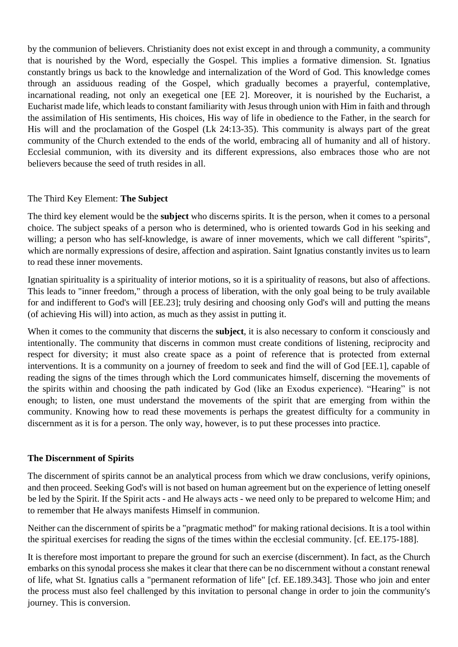by the communion of believers. Christianity does not exist except in and through a community, a community that is nourished by the Word, especially the Gospel. This implies a formative dimension. St. Ignatius constantly brings us back to the knowledge and internalization of the Word of God. This knowledge comes through an assiduous reading of the Gospel, which gradually becomes a prayerful, contemplative, incarnational reading, not only an exegetical one [EE 2]. Moreover, it is nourished by the Eucharist, a Eucharist made life, which leads to constant familiarity with Jesus through union with Him in faith and through the assimilation of His sentiments, His choices, His way of life in obedience to the Father, in the search for His will and the proclamation of the Gospel (Lk 24:13-35). This community is always part of the great community of the Church extended to the ends of the world, embracing all of humanity and all of history. Ecclesial communion, with its diversity and its different expressions, also embraces those who are not believers because the seed of truth resides in all.

#### The Third Key Element: **The Subject**

The third key element would be the **subject** who discerns spirits. It is the person, when it comes to a personal choice. The subject speaks of a person who is determined, who is oriented towards God in his seeking and willing; a person who has self-knowledge, is aware of inner movements, which we call different "spirits", which are normally expressions of desire, affection and aspiration. Saint Ignatius constantly invites us to learn to read these inner movements.

Ignatian spirituality is a spirituality of interior motions, so it is a spirituality of reasons, but also of affections. This leads to "inner freedom," through a process of liberation, with the only goal being to be truly available for and indifferent to God's will [EE.23]; truly desiring and choosing only God's will and putting the means (of achieving His will) into action, as much as they assist in putting it.

When it comes to the community that discerns the **subject**, it is also necessary to conform it consciously and intentionally. The community that discerns in common must create conditions of listening, reciprocity and respect for diversity; it must also create space as a point of reference that is protected from external interventions. It is a community on a journey of freedom to seek and find the will of God [EE.1], capable of reading the signs of the times through which the Lord communicates himself, discerning the movements of the spirits within and choosing the path indicated by God (like an Exodus experience). "Hearing" is not enough; to listen, one must understand the movements of the spirit that are emerging from within the community. Knowing how to read these movements is perhaps the greatest difficulty for a community in discernment as it is for a person. The only way, however, is to put these processes into practice.

#### **The Discernment of Spirits**

The discernment of spirits cannot be an analytical process from which we draw conclusions, verify opinions, and then proceed. Seeking God's will is not based on human agreement but on the experience of letting oneself be led by the Spirit. If the Spirit acts - and He always acts - we need only to be prepared to welcome Him; and to remember that He always manifests Himself in communion.

Neither can the discernment of spirits be a "pragmatic method" for making rational decisions. It is a tool within the spiritual exercises for reading the signs of the times within the ecclesial community. [cf. EE.175-188].

It is therefore most important to prepare the ground for such an exercise (discernment). In fact, as the Church embarks on this synodal process she makes it clear that there can be no discernment without a constant renewal of life, what St. Ignatius calls a "permanent reformation of life" [cf. EE.189.343]. Those who join and enter the process must also feel challenged by this invitation to personal change in order to join the community's journey. This is conversion.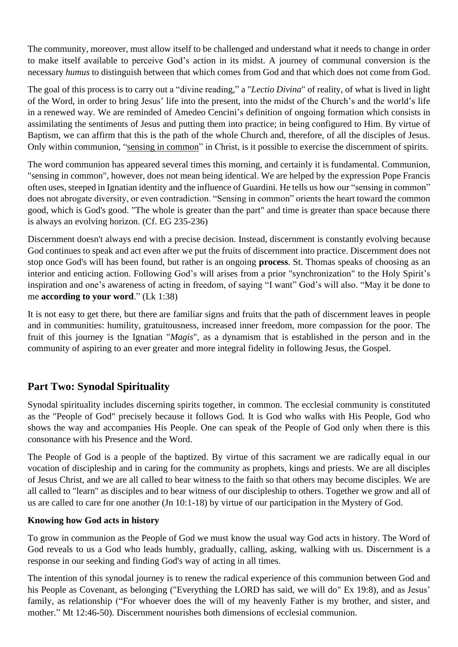The community, moreover, must allow itself to be challenged and understand what it needs to change in order to make itself available to perceive God's action in its midst. A journey of communal conversion is the necessary *humus* to distinguish between that which comes from God and that which does not come from God.

The goal of this process is to carry out a "divine reading," a "*Lectio Divina*" of reality, of what is lived in light of the Word, in order to bring Jesus' life into the present, into the midst of the Church's and the world's life in a renewed way. We are reminded of Amedeo Cencini's definition of ongoing formation which consists in assimilating the sentiments of Jesus and putting them into practice; in being configured to Him. By virtue of Baptism, we can affirm that this is the path of the whole Church and, therefore, of all the disciples of Jesus. Only within communion, "sensing in common" in Christ, is it possible to exercise the discernment of spirits.

The word communion has appeared several times this morning, and certainly it is fundamental. Communion, "sensing in common", however, does not mean being identical. We are helped by the expression Pope Francis often uses, steeped in Ignatian identity and the influence of Guardini. He tells us how our "sensing in common" does not abrogate diversity, or even contradiction. "Sensing in common" orients the heart toward the common good, which is God's good. "The whole is greater than the part" and time is greater than space because there is always an evolving horizon. (Cf. EG 235-236)

Discernment doesn't always end with a precise decision. Instead, discernment is constantly evolving because God continues to speak and act even after we put the fruits of discernment into practice. Discernment does not stop once God's will has been found, but rather is an ongoing **process**. St. Thomas speaks of choosing as an interior and enticing action. Following God's will arises from a prior "synchronization" to the Holy Spirit's inspiration and one's awareness of acting in freedom, of saying "I want" God's will also. "May it be done to me **according to your word**." (Lk 1:38)

It is not easy to get there, but there are familiar signs and fruits that the path of discernment leaves in people and in communities: humility, gratuitousness, increased inner freedom, more compassion for the poor. The fruit of this journey is the Ignatian "*Magis*", as a dynamism that is established in the person and in the community of aspiring to an ever greater and more integral fidelity in following Jesus, the Gospel.

# **Part Two: Synodal Spirituality**

Synodal spirituality includes discerning spirits together, in common. The ecclesial community is constituted as the "People of God" precisely because it follows God. It is God who walks with His People, God who shows the way and accompanies His People. One can speak of the People of God only when there is this consonance with his Presence and the Word.

The People of God is a people of the baptized. By virtue of this sacrament we are radically equal in our vocation of discipleship and in caring for the community as prophets, kings and priests. We are all disciples of Jesus Christ, and we are all called to bear witness to the faith so that others may become disciples. We are all called to "learn" as disciples and to bear witness of our discipleship to others. Together we grow and all of us are called to care for one another (Jn 10:1-18) by virtue of our participation in the Mystery of God.

## **Knowing how God acts in history**

To grow in communion as the People of God we must know the usual way God acts in history. The Word of God reveals to us a God who leads humbly, gradually, calling, asking, walking with us. Discernment is a response in our seeking and finding God's way of acting in all times.

The intention of this synodal journey is to renew the radical experience of this communion between God and his People as Covenant, as belonging ("Everything the LORD has said, we will do" Ex 19:8), and as Jesus' family, as relationship ("For whoever does the will of my heavenly Father is my brother, and sister, and mother." Mt 12:46-50). Discernment nourishes both dimensions of ecclesial communion.